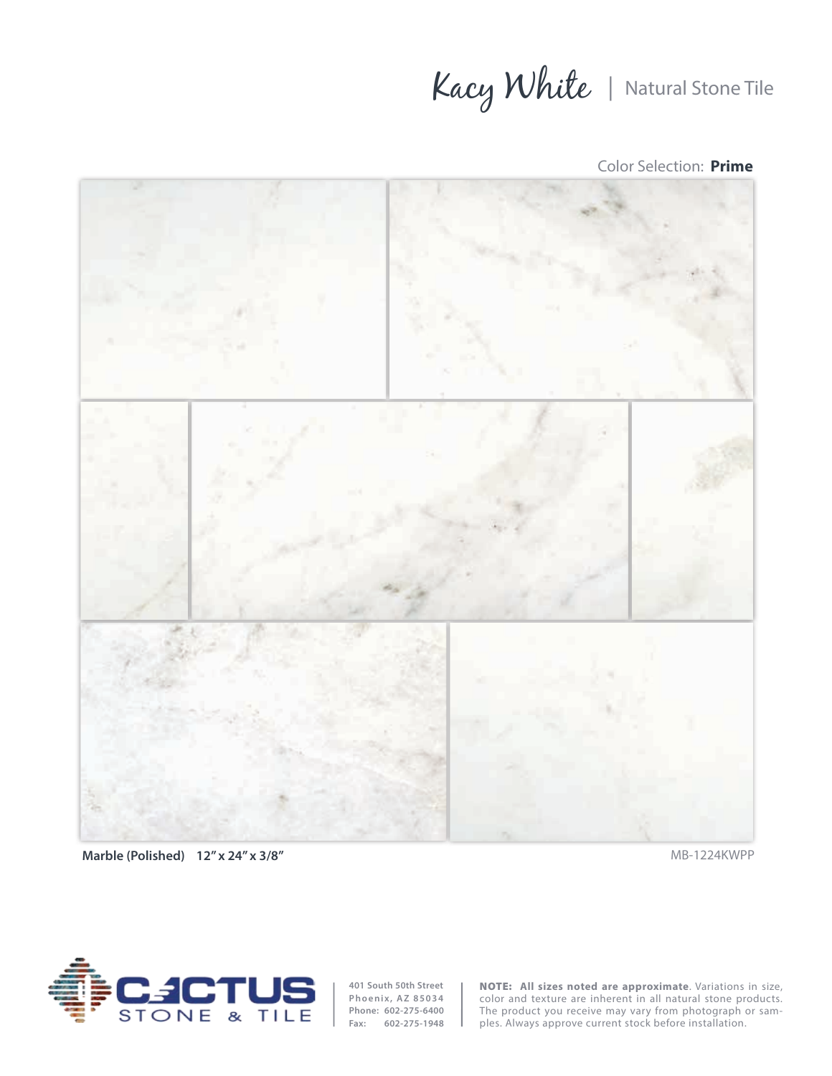Kacy White | Natural Stone Tile

Color Selection: **Prime**





**401 South 50th Street Phoenix, AZ 85034 Phone: 602-275-6400 Fax: 602-275-1948**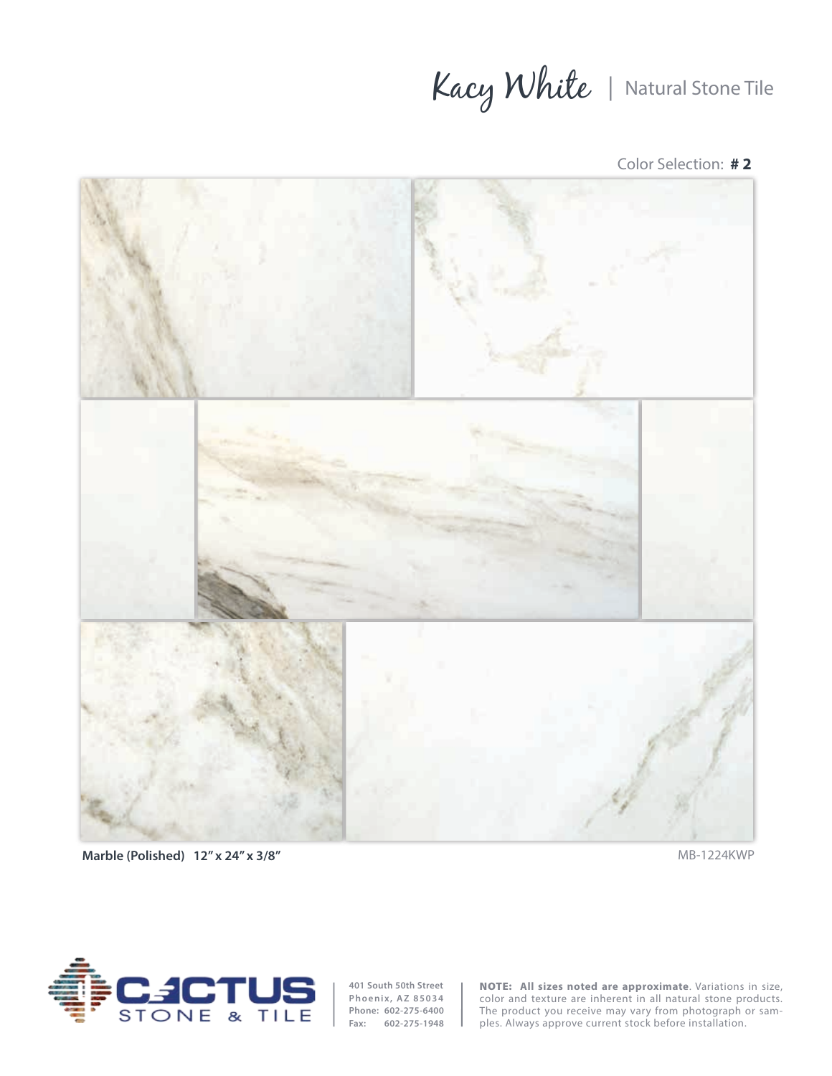## Kacy White | Natural Stone Tile





**Marble (Polished) 12" x 24" x 3/8"** MB-1224KWP



**401 South 50th Street Phoenix, AZ 85034 Phone: 602-275-6400 Fax: 602-275-1948**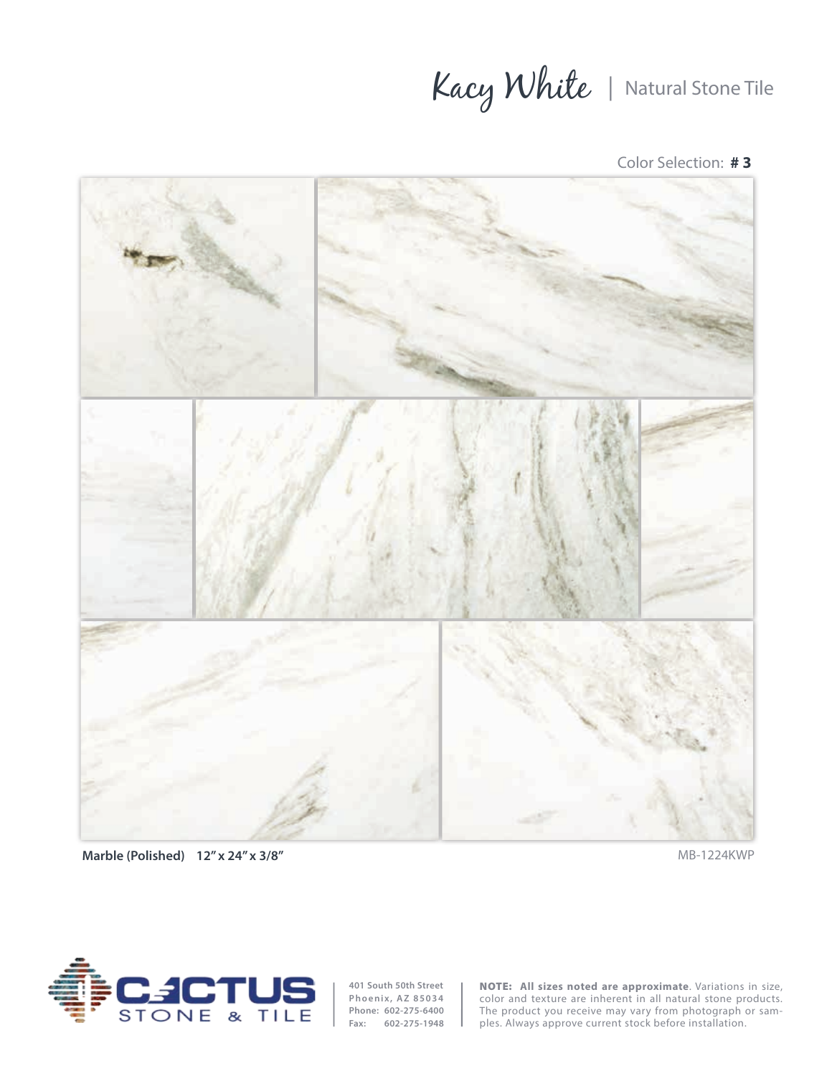## Kacy White | Natural Stone Tile

Color Selection: **# 3**



**Marble (Polished) 12" x 24" x 3/8"** MB-1224KWP



**401 South 50th Street Phoenix, AZ 85034 Phone: 602-275-6400 Fax: 602-275-1948**